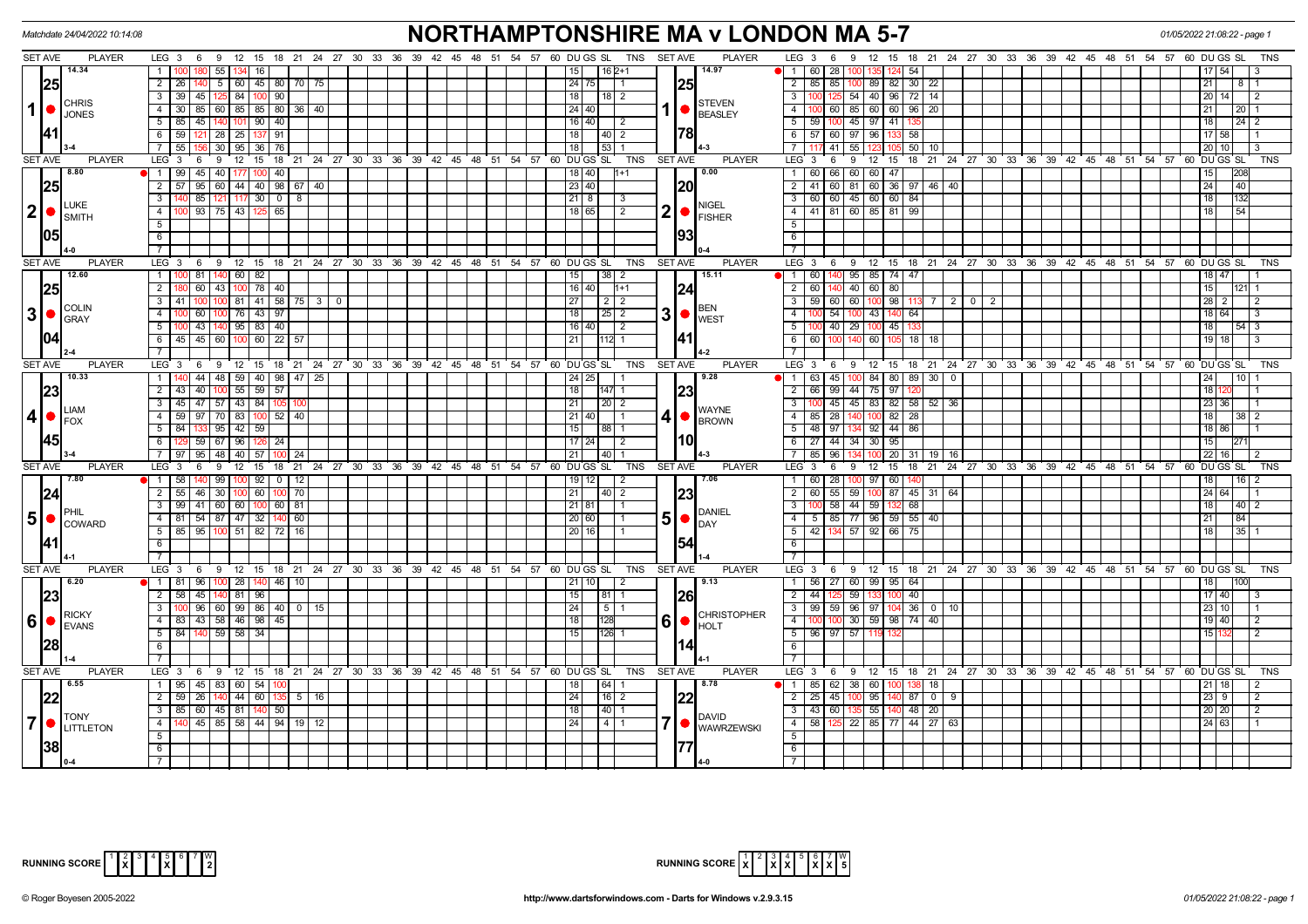|                | Matchdate 24/04/2022 10:14:08                               |                                                                                    | <b>NORTHAMPTONSHIRE MA v LONDON MA 5-7</b>                                   | 01/05/2022 21:08:22 - page 1                |                                                                                                 |                       |  |  |
|----------------|-------------------------------------------------------------|------------------------------------------------------------------------------------|------------------------------------------------------------------------------|---------------------------------------------|-------------------------------------------------------------------------------------------------|-----------------------|--|--|
|                | <b>SET AVE</b><br><b>PLAYER</b>                             | LEG 3 6 9 12 15 18 21 24 27 30 33 36 39 42                                         | 54 57 60 DU GS SL TNS SET AVE<br>51<br>45<br>48                              | <b>PLAYER</b>                               | $LEG_3 6$<br>12 15 18 21 24 27 30 33 36 39 42 45 48 51 54 57 60 DUGS SL<br>-9                   | TNS                   |  |  |
|                | 14.34                                                       | 55<br>$\mathbf{1}$<br>16                                                           | 15 <sub>l</sub><br>$162+1$                                                   | 14.97                                       | $\blacksquare$<br>60<br>28<br>54                                                                |                       |  |  |
| $\mathbf{1}$   | 25                                                          | $2 \mid 26$<br>45 80 70<br>75<br>5 <sup>5</sup><br> 60                             | 24 75                                                                        | 25                                          | $\overline{2}$<br>85 85<br>89 82 30<br>22                                                       | 21                    |  |  |
|                |                                                             | 45 125 84<br>$100$ 90<br>3 <sup>1</sup><br>l 39                                    | 18 <sup>1</sup><br>  18   2                                                  |                                             | $\overline{\cdot \cdot \cdot}$<br>125 54 40 96 72<br>14 I                                       | 20 <sub>1</sub>       |  |  |
|                | <b>CHRIS</b><br><b>JONES</b>                                | 85   60   85   85   80   36  <br>$\overline{4}$<br>40                              | 24 40                                                                        | STEVEN<br>BEASLEY                           | 60 85 60 60 96<br>$\overline{4}$<br>20                                                          | 21                    |  |  |
|                |                                                             | 45   140   101   90   40<br>$5 \mid 85$                                            | $16$ 40<br>l 2                                                               |                                             | $\overline{5}$<br>100 45 97 41<br>59                                                            | 18                    |  |  |
|                | 141                                                         | $6 \mid 59$<br>121 28 25<br>137 91                                                 | 1781<br><b>18</b><br>$\vert$ 40 $\vert$ 2                                    |                                             | $6$ 57 60 97 96<br>133 58                                                                       | 17158                 |  |  |
|                |                                                             | $7 \overline{\smash{)}\,55}$<br>30 95 36 76                                        | 18<br>53 1                                                                   |                                             | $\overline{7}$<br>$41 \overline{55}$<br>$05$ 50<br>10 I                                         | $20$   10             |  |  |
|                | <b>SET AVE</b><br><b>PLAYER</b>                             | LEG 3<br>9<br>6                                                                    | 12 15 18 21 24 27 30 33 36 39 42 45 48 51 54 57 60 DUGS SL TNS               | <b>SET AVE</b><br><b>PLAYER</b>             | $LEG \ 3$<br><b>9</b><br>12 15 18 21 24 27 30 33 36 39 42 45 48 51 54 57 60 DUGS SL<br>6        |                       |  |  |
|                | 8.80                                                        | 45 40 177<br>$1 \mid 99$<br>100<br>40                                              | 18 40<br>$1+1$                                                               | $\overline{0.00}$                           | 60 66 60 60 47<br>$\overline{1}$                                                                | 15                    |  |  |
|                | 25                                                          | 95<br>60 44 40 98 67 40<br>$2 \mid 57$                                             | 23 40                                                                        | <b>20</b>                                   | 41 60 81 60 36 97 46 40<br>$\overline{2}$                                                       | 24<br>40              |  |  |
|                |                                                             | $85$   121   117   30   0   8<br>$\overline{\mathbf{3}}$                           | 21 8<br>I 3                                                                  |                                             | $\overline{\mathbf{3}}$<br>60 60 45 60 60 84                                                    | 18 I<br>1132          |  |  |
|                | LUKE<br>2 •                                                 | $\boxed{93}$ 75 43 125 65<br>$\overline{4}$                                        | 18 65 <br>$\sqrt{2}$                                                         | <b>NIGEL</b><br>2                           | $41$ 81 60 85 81 99<br>$-4$                                                                     | 54<br>18              |  |  |
|                | <b>SMITH</b>                                                | 5                                                                                  |                                                                              | <b>FISHER</b>                               | $\overline{5}$                                                                                  |                       |  |  |
|                | 105                                                         | 6                                                                                  |                                                                              | 1931                                        | $\overline{6}$                                                                                  |                       |  |  |
|                |                                                             |                                                                                    |                                                                              |                                             | $\overline{7}$                                                                                  |                       |  |  |
|                | <b>SET AVE</b><br><b>PLAYER</b>                             | 15 18 21 24 27 30 33 36 39 42 45 48 51<br>LEG <sub>3</sub><br>$9 \quad 12$<br>6    | 54 57<br>60 DU GS SL<br>TNS                                                  | SET AVE<br><b>PLAYER</b>                    | LEG <sup>3</sup><br>6<br><b>9</b><br>12 15 18 21 24 27 30 33 36 39 42 45 48 51 54 57 60 DUGS SL | <b>TNS</b>            |  |  |
|                | 12.60                                                       | 81<br>$140$ 60<br>82<br>$\overline{1}$                                             | $38 \mid 2$<br>15                                                            | 15.11                                       | 140 95<br>85 74 47<br>$-1$<br>60                                                                | 18 47                 |  |  |
|                | 25                                                          | $78$ 40<br>$\overline{2}$<br>$60$   43   100                                       | 16   40  <br>$1 + 1$                                                         | 1241                                        | 140 40<br>$\overline{2}$<br>60 I<br>60<br>80                                                    | 15                    |  |  |
|                |                                                             | $3 \mid 41$<br>100 100 81 41 58 75 3 0                                             | 27                                                                           |                                             | $\overline{\mathbf{3}}$<br>59 60 60 100 98 11<br>7 2 0 2                                        | $28$   2              |  |  |
|                | <b>COLIN</b><br>$3  \bullet  _{\text{GRAY}}^{\text{COLIN}}$ | $\overline{4}$<br>60<br>100 76<br>43 97                                            | 18<br>$25 \mid 2$                                                            | <b>BEN</b><br>3                             | $\overline{4}$<br>54<br>43 140 64                                                               | 18   64               |  |  |
|                |                                                             | $83 \mid 40$<br>43<br>$5\overline{)}$<br>140 95                                    | $16$ 40<br>$\sqrt{2}$                                                        | <b>WEST</b>                                 | 5<br>40 29<br>45<br>100 <sup>1</sup>                                                            | 18                    |  |  |
|                | 1041                                                        | 45 60 100 60 22 57<br>$6 \mid 45$                                                  | 21<br>112 1                                                                  |                                             | 6<br>60 105 18<br>60 l<br>100 140<br>18                                                         | $19$ 18               |  |  |
|                |                                                             | 7                                                                                  |                                                                              |                                             | $\overline{7}$                                                                                  |                       |  |  |
|                | <b>SET AVE</b><br><b>PLAYER</b>                             | $LEG_3$                                                                            | 6 9 12 15 18 21 24 27 30 33 36 39 42 45 48 51 54 57 60 DUGS SL<br>TNS        | <b>PLAYER</b><br><b>SET AVE</b>             | LEG 3 6 9<br>12 15 18 21 24 27 30 33 36 39 42 45 48 51 54 57 60 DUGS SL                         | <b>TNS</b>            |  |  |
|                | 10.33                                                       | 44 48 59 40 98 47<br>$1\vert$ 1<br>25                                              | 24 25                                                                        | 9.28                                        | 45 100<br>$\blacksquare$<br>84 80 89<br>30 <sup>1</sup><br>63 I<br>$\mathbf{0}$                 | 24<br>10 <sup>1</sup> |  |  |
|                | 23                                                          | 2 43<br>40 100 55<br>$59$ 57                                                       | 18<br>147                                                                    | 23                                          | $\overline{2}$<br>66 99 44 75 97                                                                | 18                    |  |  |
|                |                                                             | 47 57 43 84<br>3                                                                   | 21<br>$20 \mid 2$                                                            |                                             | 100 45 45 83 82 58<br>$\mathbf{3}$<br>52 36                                                     | 23 36                 |  |  |
|                | _IAM<br>4 •<br><b>FOX</b>                                   | $\overline{4}$<br>$97$   70   83  <br>$100$ 52 $40$<br>l 59                        | 21 40                                                                        | <b>IWAYNE</b><br>4 •<br><b>BROWN</b>        | $82 \mid 28$<br>$\overline{4}$<br>85 28 140<br>100 <sub>1</sub>                                 | 18 <sup>1</sup>       |  |  |
|                |                                                             | 59<br>5<br>133<br>95   42                                                          | 15<br>188 I 1                                                                |                                             | $-5$<br>48 97<br>92 44 86                                                                       | 18   86               |  |  |
|                | 45                                                          | 59 67 96<br>- 6 I<br>1261<br>-24                                                   | 17   24  <br>$\sqrt{2}$                                                      | l10l                                        | $\overline{6}$<br>27 44 34 30 95                                                                | 15 <sup>1</sup>       |  |  |
|                |                                                             | 95 48 40 57<br>7 97<br>II 24                                                       | 21<br>40                                                                     |                                             | $\overline{7}$<br>85 96 134<br>20 31 19<br>16                                                   | $22$   16             |  |  |
|                | <b>SET AVE</b><br><b>PLAYER</b>                             | LEG <sub>3</sub><br>9<br>$^{\circ}$ 21<br>24 27 30<br>33 36<br>6<br>12<br>15<br>18 | 39<br>42 45 48 51<br>54 57<br>60 DU GS SL<br><b>TNS</b>                      | <b>PLAYER</b><br><b>SET AVE</b>             | LEG <sup>®</sup><br>6<br>9<br>12 15<br>21<br>24 27 30 33 36 39 42 45 48 51 54 57<br>- 3<br>18   | 60<br>DU GS           |  |  |
|                | 17.80                                                       | 140 99 100 92 0 12<br>1   58                                                       | 19   12<br>$\sqrt{2}$                                                        | 7.06                                        | 60 28<br>97 60<br>$\overline{1}$                                                                | 18<br>16 <sup>1</sup> |  |  |
|                | 24                                                          | 60<br>$2 \mid 55$<br>46 30 100<br>100 70                                           | 21<br> 40 2                                                                  | 23                                          | $55 \mid 59$<br>$100$ 87 45<br>$\overline{2}$<br>60<br>$31 \ 64$                                | 24 64                 |  |  |
|                | <b>PHIL</b>                                                 | $3 \mid 99$<br>41 60 60<br>$100$ 60   81                                           | 21 81                                                                        | DANIEL                                      | 58 44 59 132 68<br>$\overline{\mathbf{3}}$                                                      | 18<br>$40$   2        |  |  |
|                | $5 \nvert \nvert$ $\text{COWARD}$                           | 4   81   54   87   47   32   140   60                                              | 20 60                                                                        | $5\bullet$<br><b>I</b> DAY                  | $5 \mid 85 \mid 77 \mid 96 \mid 59 \mid 55 \mid$<br>$-4$<br>l 40.                               | 21<br>84              |  |  |
|                |                                                             | 5   85   95   100   51   82   72   16                                              | 20 16                                                                        |                                             | $-5$<br>42 134 57 92 66 75                                                                      | 18<br>35              |  |  |
|                | 141                                                         | 6                                                                                  |                                                                              |                                             | $\overline{6}$                                                                                  |                       |  |  |
|                |                                                             | $\overline{7}$                                                                     |                                                                              |                                             | $\overline{7}$                                                                                  |                       |  |  |
|                | <b>SET AVE</b><br><b>PLAYER</b>                             | $LEG$ 3                                                                            | 6 9 12 15 18 21 24 27 30 33 36 39 42 45 48 51 54 57 60 DUGS SL<br><b>TNS</b> | <b>SET AVE</b><br><b>PLAYER</b>             | LEG 3 6 9 12 15 18 21 24 27 30 33 36 39 42 45 48 51 54 57 60 DUGS SL                            | TNS                   |  |  |
|                | $\sqrt{6.20}$                                               | 1   81   96   100   28   140   46   10                                             | $21$ 10<br>$\overline{2}$                                                    | 9.13                                        | $56$ $27$ 60 99 95 64<br>$\overline{1}$                                                         | 18                    |  |  |
|                | 23                                                          | 45 140 81 96<br>$2 \mid 58$                                                        | 15 <sub>l</sub><br>  81   1                                                  | <b>261</b>                                  | $\overline{2}$<br>$\overline{59}$<br>$100 - 40$<br>44 I                                         | 17140                 |  |  |
|                |                                                             | $96 \ 60 \ 99 \ 86 \ 40 \ 0 \ 15$<br>$3 \mid 1$                                    | 24<br>$5 \mid 1$                                                             | <b>CHRISTOPHER</b>                          | $\overline{\mathbf{3}}$<br>$99 \ 59 \ 96 \ 97 \ 104 \ 36 \ 0 \ 10$                              | 23 10                 |  |  |
|                | $6 \cdot \text{B}$                                          | 43 58 46 98 45<br>$\overline{4}$<br>83                                             | 18                                                                           | 6<br>$\bullet$ $\overline{$ <sub>HOLT</sub> | $100$ 30 59 98 74 40<br>$-4$                                                                    | 19   40               |  |  |
|                |                                                             | 5<br>140 59 58<br>$\overline{34}$<br>84                                            | 15<br>126 1                                                                  |                                             | $\overline{5}$<br>96 97 57                                                                      | 15 I                  |  |  |
|                | 28                                                          | 6                                                                                  |                                                                              |                                             | 6                                                                                               |                       |  |  |
|                |                                                             |                                                                                    |                                                                              |                                             |                                                                                                 |                       |  |  |
|                | <b>SET AVE</b><br><b>PLAYER</b><br>$\sqrt{6.55}$            | $LEG$ 3                                                                            | 6 9 12 15 18 21 24 27 30 33 36 39 42 45 48 51 54 57 60 DUGS SL               | <b>PLAYER</b><br>TNS SET AVE<br>18.78       | LEG 3 6 9 12 15 18 21 24 27 30 33 36 39 42 45 48 51 54 57 60 DUGS SL                            | <b>TNS</b>            |  |  |
|                |                                                             | 1 95 45 83 60 54                                                                   | 18<br>64                                                                     |                                             | 85 62 38 60<br>$\blacksquare$<br>1001<br>18                                                     | 21 I                  |  |  |
|                | 22                                                          | $2 \mid 59$<br>26 140 44 60 135 5<br>16<br>140                                     | 24<br>$16$   2                                                               | 22                                          | 95 140 87<br>$\overline{2}$<br>25 45 100<br>$\overline{0}$<br>- 9<br>$43\overline{1}$<br>55     | 23 9                  |  |  |
|                | <b>ITONY</b>                                                | $3 \mid 85$<br>$60$ 45 81<br>50                                                    | 18<br>40                                                                     | DAVID                                       | $\overline{\mathbf{3}}$<br>140 48<br>60<br>20                                                   | 20 20                 |  |  |
| $\overline{7}$ | LITTLETON                                                   | 45   85   58   44   94   19   12<br>$\overline{4}$                                 | 24<br>  4   1                                                                | <b>WAWRZEWSKI</b>                           | 58 125 22 85 77 44 27 63<br>$\overline{4}$                                                      | 24 63                 |  |  |
|                | 38                                                          | 5 <sup>5</sup><br>6                                                                |                                                                              |                                             | 5<br>6                                                                                          |                       |  |  |
|                |                                                             |                                                                                    |                                                                              |                                             | $\overline{7}$                                                                                  |                       |  |  |
|                |                                                             |                                                                                    |                                                                              |                                             |                                                                                                 |                       |  |  |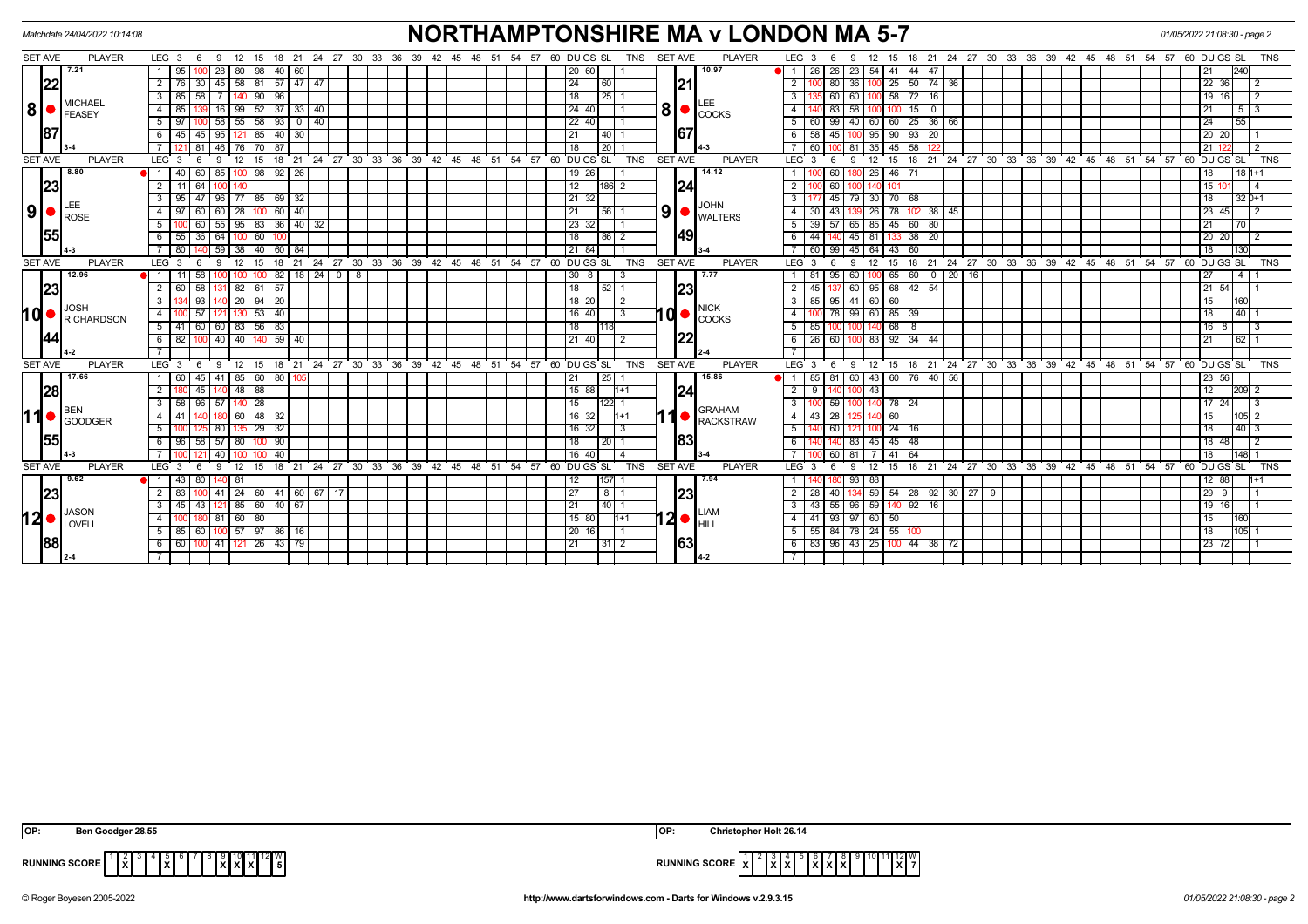|                | Matchdate 24/04/2022 10:14:08                                |                                                                                       | <b>NORTHAMPTONSHIRE MA v LONDON MA 5-7</b>                                                         | 01/05/2022 21:08:30 - page 2                                                                              |                                         |  |  |  |
|----------------|--------------------------------------------------------------|---------------------------------------------------------------------------------------|----------------------------------------------------------------------------------------------------|-----------------------------------------------------------------------------------------------------------|-----------------------------------------|--|--|--|
| SET AVE        | <b>PLAYER</b>                                                | LEG <sub>3</sub><br>18 21 24 27 30 33 36 39 42<br>12<br>15<br>6<br>9                  | <b>SET AVE</b><br>57<br>60 DU GS SL<br>TNS<br><b>PLAYER</b><br>45<br>48<br>51<br>54                | LEG <sub>3</sub><br>18 21 24 27 30 33 36 39 42 45 48 51 54 57 60 DU GS SL<br>12<br>15<br>9<br>-6          | <b>TNS</b>                              |  |  |  |
|                | 7.21                                                         | 95<br>28<br>  80  <br>98<br>40 60                                                     | 10.97<br>20 60                                                                                     | 44 47<br>26<br>26<br>23<br>54<br>41<br>$\blacksquare$                                                     | 21                                      |  |  |  |
|                | 22                                                           | 57<br>45<br>58 <sup>1</sup><br>$147$ $147$<br>$\overline{2}$<br>30 <sup>1</sup><br>81 | 21 <br>24<br>60                                                                                    | $50$ 74 36<br>$\overline{2}$<br>80 <sup>2</sup><br>36<br>25                                               | 22 36                                   |  |  |  |
|                |                                                              | 58<br>90   96<br>$\mathbf{3}$<br>85                                                   | 18<br>25                                                                                           | 100 58 72 16<br>$\mathbf{3}$<br>60 <sub>1</sub><br>60                                                     | $19$ 16                                 |  |  |  |
| 8 •            | <b>MICHAEL</b><br>FEASEY                                     | $52$ 37<br>99<br>33   40<br>85<br>16                                                  | $ 8  \bullet  _{\text{COCKS}}$<br>$24 \mid 40$                                                     | 15<br>$\overline{\mathbf{0}}$                                                                             | 21<br>5 3                               |  |  |  |
|                |                                                              | $00$   58   55   58   93   0   40<br>5<br>97                                          | $22 \mid 40 \mid$                                                                                  | $99$ 40 60 60 25 36 66<br>5<br>60 I                                                                       | 24<br>55                                |  |  |  |
|                | 87                                                           | 85<br>95<br>40<br>6<br>45<br>45 I<br>30                                               | 67 <br>21<br>  40                                                                                  | 58<br>95<br>90<br>93   20<br>6<br>45                                                                      | $\sqrt{20}$ 20                          |  |  |  |
|                |                                                              | 121 81 46 76 70 87                                                                    | 18<br>$\overline{20}$                                                                              | 35 45 58 122<br>100 81<br>60 I                                                                            | 21 12                                   |  |  |  |
| <b>SET AVE</b> | <b>PLAYER</b>                                                | 18<br>LEG 3<br>9<br>12<br>15<br>- 6                                                   | 21 24 27 30 33 36 39 42 45 48 51 54 57 60 DUGS SL<br><b>SET AVE</b><br><b>PLAYER</b><br><b>TNS</b> | 18 21 24 27 30 33 36 39 42 45 48 51 54 57 60 DUGS SL<br>12<br>LEG <sub>3</sub><br>-9<br>15                | <b>TNS</b>                              |  |  |  |
|                | 8.80                                                         | 60 85 100 98 92 26<br>$\blacksquare$ 1<br>40 I                                        | 14.12<br>$19$ 26                                                                                   | 60 <sub>1</sub><br>26<br>46 71                                                                            | 18<br>  18   1+1                        |  |  |  |
|                | 23                                                           | 64<br>$\overline{2}$                                                                  | 12<br> 24 <br>186 2                                                                                | $\overline{2}$<br>60                                                                                      | 151                                     |  |  |  |
|                |                                                              | 96<br>77 85 69 32<br>$\mathbf{3}$<br>95<br>47 I                                       | 21 32<br><b>JOHN</b>                                                                               | 30 70 68<br>45 <sup>1</sup><br>79                                                                         | 18<br>$32 0+1$                          |  |  |  |
|                | $\vert 9 \vert$ $\bullet$ $\vert_{\text{ROSE}}^{\text{LEE}}$ | $60$   40<br>28<br>97<br>60<br>60                                                     | $\texttt{ }9 \texttt{ } \bullet \texttt{ }^\textsf{turn} \textsf{}}$<br>21<br>56                   | <b>26</b><br>78<br>$\frac{1}{38}$<br>45                                                                   | $\sqrt{23}$ 45                          |  |  |  |
|                |                                                              | $55$   95<br>83 36 40 32<br>5<br>60                                                   | 23 32                                                                                              | 45 60 80<br>57<br>65<br>85                                                                                | 21<br>70                                |  |  |  |
|                | 55                                                           | 55<br>-36 I<br>64<br>60                                                               | 49 <br>18<br>l 86 I                                                                                | 133 38 20<br>44<br>$45$ 81<br>6                                                                           | 20 20                                   |  |  |  |
|                |                                                              | 59<br>40<br>60<br>-84<br>80<br>38                                                     | 21 84                                                                                              | 99<br>45<br>64<br>60<br>60<br>43                                                                          | 18                                      |  |  |  |
| <b>SET AVE</b> | <b>PLAYER</b>                                                | LEG 3<br>12<br>21<br>$\mathbf{Q}$<br>18<br>15                                         | 24 27 30 33 36 39 42 45 48 51 54 57 60 DUGS SL<br>TNS<br><b>SET AVE</b><br><b>PLAYER</b>           | 18  21  24  27  30  33  36  39  42  45  48  51  54  57  60  DUGS SL<br>LEG <sup>3</sup><br>12<br>15<br>-9 | <b>TNS</b>                              |  |  |  |
|                | 12.96                                                        | $\overline{0}$<br>82<br>8<br>11<br>58                                                 | 30 8<br>7.77<br>-3                                                                                 | $0$ 20 16<br>60<br>65<br>60<br>95                                                                         | $\overline{27}$<br>4                    |  |  |  |
|                | 23                                                           | $182$ 61 57<br>60 58                                                                  | 23 <br>18<br>$52$ 1                                                                                | 137 60 95 68 42 54<br>45                                                                                  | $\sqrt{21 54}$                          |  |  |  |
|                | <b>JOSH</b>                                                  | 20<br>94<br>20<br>93<br>3                                                             | 18 20<br>2<br><b>NICK</b>                                                                          | 60<br>85<br>95<br>41<br>60<br>$\mathbf{3}$                                                                | 15<br>160                               |  |  |  |
| I Q  ●         | <b>RICHARDSON</b>                                            | $53 \mid 40$<br>57<br>4                                                               | $10$ $\bullet$ $\frac{\text{NIGN}}{\text{COCKS}}$<br>$16$ 40<br>$\overline{\mathbf{3}}$            | 78 99 60 85 39<br>-4                                                                                      | 18<br> 40                               |  |  |  |
|                |                                                              | 83<br>56  <br>$5\overline{)}$<br>-41<br>60<br>60<br>  83                              | 18                                                                                                 | 68 I<br>85                                                                                                | $16$   8                                |  |  |  |
|                | 44                                                           | 140 59 40<br>100 40 40 1<br>6<br>82                                                   | 22 <br>21 40<br>$\overline{2}$                                                                     | 60 100 83 92 34 44<br>26<br>6                                                                             | 21<br> 62                               |  |  |  |
|                |                                                              |                                                                                       |                                                                                                    |                                                                                                           |                                         |  |  |  |
|                | <b>SET AVE</b><br><b>PLAYER</b>                              | $LEG_3$<br>12 15<br>-9<br>-6                                                          | 18 21 24 27 30 33 36 39 42 45 48 51 54 57 60 DUGS SL<br><b>SET AVE</b><br><b>PLAYER</b><br>TNS     | 18 21 24 27 30 33 36 39 42 45 48 51 54 57 60 DUGS SL<br>LEG <sub>3</sub><br>12<br>9<br>15                 | <b>TNS</b>                              |  |  |  |
|                | 17.66                                                        | 85   60   80   105<br>60<br>45<br>41                                                  | 15.86<br>21<br> 25                                                                                 | 60 43 60 76 40 56<br>81<br>85 I                                                                           | 23 56                                   |  |  |  |
|                | 28                                                           | 48 88<br>2<br>45                                                                      | 24 <br>15 88 <br>$11+1$                                                                            | 43<br>2<br>$9^{\circ}$                                                                                    | 12<br>209 2                             |  |  |  |
|                | <b>BEN</b>                                                   | 28<br>96<br>57<br>-58                                                                 | 15<br>122 1<br><b>GRAHAM</b>                                                                       | 78 24<br>59                                                                                               | 17 24                                   |  |  |  |
|                | l 1 ●  <br><b>GOODGER</b>                                    | $48$ 32<br>60 I<br>$\overline{4}$<br>41                                               | $16$ 32<br>$1 + 1$<br>RACKSTRAW                                                                    | 60<br>$\overline{4}$<br>43 I<br>28                                                                        | 15<br>105 2                             |  |  |  |
|                |                                                              | $29 \mid 32$<br>5<br>80                                                               | $16 \mid 32 \mid$<br>3                                                                             | 24 16<br>5<br>60                                                                                          | 18<br>$ 40 $ 3                          |  |  |  |
|                | 55                                                           | 58 57 80<br>90<br>-96                                                                 | 83<br>18<br>l 20 I                                                                                 | $45$   48<br>83<br>45 I                                                                                   | 18 48                                   |  |  |  |
|                |                                                              | 40<br>40                                                                              | 16 40                                                                                              | 64<br>60 <sub>1</sub>                                                                                     | 18                                      |  |  |  |
| <b>SET AVE</b> | <b>PLAYER</b>                                                | LEG <sub>3</sub><br>$24$ 27 30 33 36<br>18<br>21<br>15<br>9                           | <b>TNS</b><br>SET AVE<br>39<br>42<br>45<br>48<br>51<br>54<br>57<br>60 DU GS SL<br><b>PLAYER</b>    | LEG <sub>3</sub><br>21 24 27 30 33 36 39 42<br>45<br>48<br>51<br>15<br>18<br>-9                           | 54<br>57<br>$60$ DU GS SL<br><b>TNS</b> |  |  |  |
|                | 9.62                                                         | 43<br>80<br>11<br>140  81                                                             | 7.94<br>157<br>12                                                                                  | 93<br>88                                                                                                  | 12   88                                 |  |  |  |
|                | 23                                                           | $\mid$ 24   60   41   60   67   17<br>41                                              | 23 <br>27<br>8 <sup>1</sup>                                                                        | 59<br>54 28 92 30 27 9<br>40                                                                              | $\sqrt{29}$ 9                           |  |  |  |
|                | <b>JASON</b>                                                 | 43 121 85 60 40 67<br>45 I                                                            | 21<br>$140$ 1<br><b>LIAM</b>                                                                       | $55 \ 96 \ 59$<br>140 92 16<br>$-43$                                                                      | $19$ 16                                 |  |  |  |
|                | $12$ $\bullet$ $\frac{JASON}{LOVELL}$                        | $60 \mid 80$<br>81<br>4                                                               | $ 2 \bullet _\textrm{HILL}^\textrm{LIAN}$<br>15 80<br>$11 + 1$                                     | 60<br>$\overline{4}$<br>41<br>93 97<br>50                                                                 | 15                                      |  |  |  |
|                |                                                              | 85   60   100   57   97   86   16  <br>-5 I                                           | 20 16                                                                                              | 55 84 78 24 55 100<br>5                                                                                   | 18<br>105                               |  |  |  |
|                | 88                                                           | 100 41 121 26 43 79<br>60 I<br>6                                                      | 63<br>21<br> 31 2                                                                                  | 83 96 43 25 100 44 38 72<br>6                                                                             | 23 72                                   |  |  |  |
|                |                                                              |                                                                                       |                                                                                                    |                                                                                                           |                                         |  |  |  |

| IOP:<br>----<br>28.5.                       | * Holt 26.14<br>IOP:                                                                      |
|---------------------------------------------|-------------------------------------------------------------------------------------------|
| <b>RUNNING SCORE</b><br>1xI<br>I v<br>8 A I | 12 W<br><b>RUNNING SCORE   X  </b><br>$\overline{\phantom{a}}$<br>TXL:<br>.<br>IXIX.<br>. |